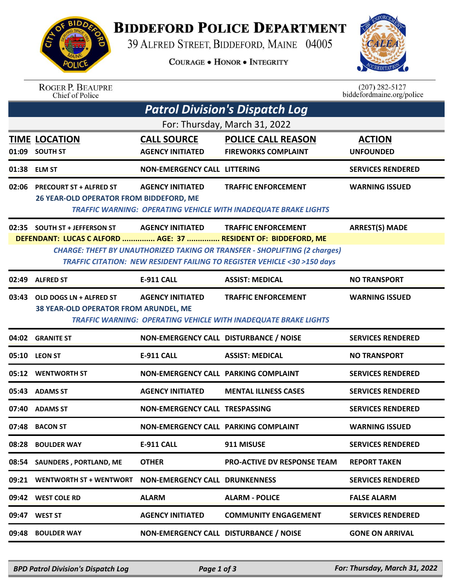

## **BIDDEFORD POLICE DEPARTMENT**

39 ALFRED STREET, BIDDEFORD, MAINE 04005

**COURAGE . HONOR . INTEGRITY** 



ROGER P. BEAUPRE<br>Chief of Police

 $(207)$  282-5127<br>biddefordmaine.org/police

| <b>Patrol Division's Dispatch Log</b> |                                                                                                                                                                                                                                 |                                               |                                                                                                      |                                   |  |  |  |  |
|---------------------------------------|---------------------------------------------------------------------------------------------------------------------------------------------------------------------------------------------------------------------------------|-----------------------------------------------|------------------------------------------------------------------------------------------------------|-----------------------------------|--|--|--|--|
| For: Thursday, March 31, 2022         |                                                                                                                                                                                                                                 |                                               |                                                                                                      |                                   |  |  |  |  |
|                                       | <b>TIME LOCATION</b><br>01:09 SOUTH ST                                                                                                                                                                                          | <b>CALL SOURCE</b><br><b>AGENCY INITIATED</b> | <b>POLICE CALL REASON</b><br><b>FIREWORKS COMPLAINT</b>                                              | <b>ACTION</b><br><b>UNFOUNDED</b> |  |  |  |  |
|                                       | 01:38 ELM ST                                                                                                                                                                                                                    | <b>NON-EMERGENCY CALL LITTERING</b>           |                                                                                                      | <b>SERVICES RENDERED</b>          |  |  |  |  |
| 02:06                                 | <b>PRECOURT ST + ALFRED ST</b><br>26 YEAR-OLD OPERATOR FROM BIDDEFORD, ME                                                                                                                                                       | <b>AGENCY INITIATED</b>                       | <b>TRAFFIC ENFORCEMENT</b><br><b>TRAFFIC WARNING: OPERATING VEHICLE WITH INADEQUATE BRAKE LIGHTS</b> | <b>WARNING ISSUED</b>             |  |  |  |  |
|                                       | 02:35 SOUTH ST + JEFFERSON ST                                                                                                                                                                                                   | <b>AGENCY INITIATED</b>                       | <b>TRAFFIC ENFORCEMENT</b>                                                                           | <b>ARREST(S) MADE</b>             |  |  |  |  |
|                                       | DEFENDANT: LUCAS C ALFORD  AGE: 37  RESIDENT OF: BIDDEFORD, ME<br><b>CHARGE: THEFT BY UNAUTHORIZED TAKING OR TRANSFER - SHOPLIFTING (2 charges)</b><br>TRAFFIC CITATION: NEW RESIDENT FAILING TO REGISTER VEHICLE <30 >150 days |                                               |                                                                                                      |                                   |  |  |  |  |
|                                       | 02:49 ALFRED ST                                                                                                                                                                                                                 | <b>E-911 CALL</b>                             | <b>ASSIST: MEDICAL</b>                                                                               | <b>NO TRANSPORT</b>               |  |  |  |  |
| 03:43                                 | OLD DOGS LN + ALFRED ST<br>38 YEAR-OLD OPERATOR FROM ARUNDEL, ME                                                                                                                                                                | <b>AGENCY INITIATED</b>                       | <b>TRAFFIC ENFORCEMENT</b><br><b>TRAFFIC WARNING: OPERATING VEHICLE WITH INADEQUATE BRAKE LIGHTS</b> | <b>WARNING ISSUED</b>             |  |  |  |  |
|                                       | 04:02 GRANITE ST                                                                                                                                                                                                                | NON-EMERGENCY CALL DISTURBANCE / NOISE        |                                                                                                      | <b>SERVICES RENDERED</b>          |  |  |  |  |
|                                       | 05:10 LEON ST                                                                                                                                                                                                                   | <b>E-911 CALL</b>                             | <b>ASSIST: MEDICAL</b>                                                                               | <b>NO TRANSPORT</b>               |  |  |  |  |
|                                       | 05:12 WENTWORTH ST                                                                                                                                                                                                              | <b>NON-EMERGENCY CALL PARKING COMPLAINT</b>   |                                                                                                      | <b>SERVICES RENDERED</b>          |  |  |  |  |
| 05:43                                 | <b>ADAMS ST</b>                                                                                                                                                                                                                 | <b>AGENCY INITIATED</b>                       | <b>MENTAL ILLNESS CASES</b>                                                                          | <b>SERVICES RENDERED</b>          |  |  |  |  |
| 07:40                                 | <b>ADAMS ST</b>                                                                                                                                                                                                                 | <b>NON-EMERGENCY CALL TRESPASSING</b>         |                                                                                                      | <b>SERVICES RENDERED</b>          |  |  |  |  |
| 07:48                                 | <b>BACON ST</b>                                                                                                                                                                                                                 | NON-EMERGENCY CALL PARKING COMPLAINT          |                                                                                                      | <b>WARNING ISSUED</b>             |  |  |  |  |
| 08:28                                 | <b>BOULDER WAY</b>                                                                                                                                                                                                              | E-911 CALL                                    | 911 MISUSE                                                                                           | <b>SERVICES RENDERED</b>          |  |  |  |  |
| 08:54                                 | SAUNDERS, PORTLAND, ME                                                                                                                                                                                                          | <b>OTHER</b>                                  | PRO-ACTIVE DV RESPONSE TEAM                                                                          | <b>REPORT TAKEN</b>               |  |  |  |  |
| 09:21                                 | <b>WENTWORTH ST + WENTWORT</b>                                                                                                                                                                                                  | <b>NON-EMERGENCY CALL DRUNKENNESS</b>         |                                                                                                      | <b>SERVICES RENDERED</b>          |  |  |  |  |
| 09:42                                 | <b>WEST COLE RD</b>                                                                                                                                                                                                             | <b>ALARM</b>                                  | <b>ALARM - POLICE</b>                                                                                | <b>FALSE ALARM</b>                |  |  |  |  |
| 09:47                                 | <b>WEST ST</b>                                                                                                                                                                                                                  | <b>AGENCY INITIATED</b>                       | <b>COMMUNITY ENGAGEMENT</b>                                                                          | <b>SERVICES RENDERED</b>          |  |  |  |  |
| 09:48                                 | <b>BOULDER WAY</b>                                                                                                                                                                                                              | NON-EMERGENCY CALL DISTURBANCE / NOISE        |                                                                                                      | <b>GONE ON ARRIVAL</b>            |  |  |  |  |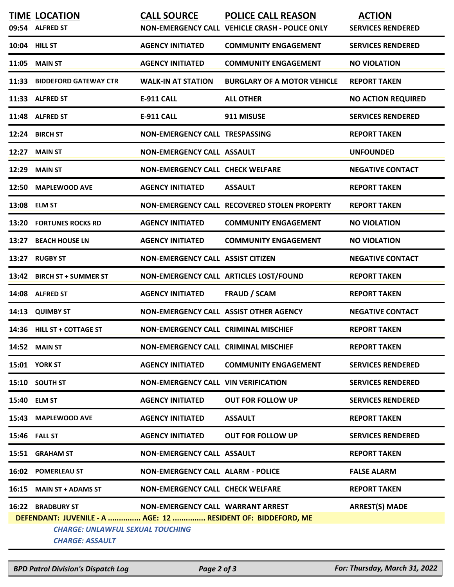|                                                                                                                                   | <b>TIME LOCATION</b><br>09:54 ALFRED ST | <b>CALL SOURCE</b>                          | <b>POLICE CALL REASON</b><br>NON-EMERGENCY CALL VEHICLE CRASH - POLICE ONLY | <b>ACTION</b><br><b>SERVICES RENDERED</b> |  |  |  |
|-----------------------------------------------------------------------------------------------------------------------------------|-----------------------------------------|---------------------------------------------|-----------------------------------------------------------------------------|-------------------------------------------|--|--|--|
|                                                                                                                                   | 10:04 HILL ST                           | <b>AGENCY INITIATED</b>                     | <b>COMMUNITY ENGAGEMENT</b>                                                 | <b>SERVICES RENDERED</b>                  |  |  |  |
|                                                                                                                                   | <b>11:05 MAIN ST</b>                    | <b>AGENCY INITIATED</b>                     | <b>COMMUNITY ENGAGEMENT</b>                                                 | <b>NO VIOLATION</b>                       |  |  |  |
| 11:33                                                                                                                             | <b>BIDDEFORD GATEWAY CTR</b>            | <b>WALK-IN AT STATION</b>                   | <b>BURGLARY OF A MOTOR VEHICLE</b>                                          | <b>REPORT TAKEN</b>                       |  |  |  |
|                                                                                                                                   | 11:33 ALFRED ST                         | <b>E-911 CALL</b>                           | <b>ALL OTHER</b>                                                            | <b>NO ACTION REQUIRED</b>                 |  |  |  |
|                                                                                                                                   | 11:48 ALFRED ST                         | <b>E-911 CALL</b>                           | 911 MISUSE                                                                  | <b>SERVICES RENDERED</b>                  |  |  |  |
|                                                                                                                                   | 12:24 BIRCH ST                          | <b>NON-EMERGENCY CALL TRESPASSING</b>       |                                                                             | <b>REPORT TAKEN</b>                       |  |  |  |
| 12:27                                                                                                                             | <b>MAIN ST</b>                          | <b>NON-EMERGENCY CALL ASSAULT</b>           |                                                                             | <b>UNFOUNDED</b>                          |  |  |  |
| 12:29                                                                                                                             | <b>MAIN ST</b>                          | <b>NON-EMERGENCY CALL CHECK WELFARE</b>     |                                                                             | <b>NEGATIVE CONTACT</b>                   |  |  |  |
| 12:50                                                                                                                             | <b>MAPLEWOOD AVE</b>                    | <b>AGENCY INITIATED</b>                     | <b>ASSAULT</b>                                                              | <b>REPORT TAKEN</b>                       |  |  |  |
| 13:08                                                                                                                             | <b>ELM ST</b>                           |                                             | NON-EMERGENCY CALL RECOVERED STOLEN PROPERTY                                | <b>REPORT TAKEN</b>                       |  |  |  |
|                                                                                                                                   | 13:20 FORTUNES ROCKS RD                 | <b>AGENCY INITIATED</b>                     | <b>COMMUNITY ENGAGEMENT</b>                                                 | <b>NO VIOLATION</b>                       |  |  |  |
| 13:27                                                                                                                             | <b>BEACH HOUSE LN</b>                   | <b>AGENCY INITIATED</b>                     | <b>COMMUNITY ENGAGEMENT</b>                                                 | <b>NO VIOLATION</b>                       |  |  |  |
| 13:27                                                                                                                             | <b>RUGBY ST</b>                         | <b>NON-EMERGENCY CALL ASSIST CITIZEN</b>    |                                                                             | <b>NEGATIVE CONTACT</b>                   |  |  |  |
| 13:42                                                                                                                             | <b>BIRCH ST + SUMMER ST</b>             |                                             | NON-EMERGENCY CALL ARTICLES LOST/FOUND                                      | <b>REPORT TAKEN</b>                       |  |  |  |
| 14:08                                                                                                                             | <b>ALFRED ST</b>                        | <b>AGENCY INITIATED</b>                     | <b>FRAUD / SCAM</b>                                                         | <b>REPORT TAKEN</b>                       |  |  |  |
| 14:13                                                                                                                             | <b>QUIMBY ST</b>                        | NON-EMERGENCY CALL ASSIST OTHER AGENCY      |                                                                             | <b>NEGATIVE CONTACT</b>                   |  |  |  |
|                                                                                                                                   | 14:36 HILL ST + COTTAGE ST              | <b>NON-EMERGENCY CALL CRIMINAL MISCHIEF</b> |                                                                             | <b>REPORT TAKEN</b>                       |  |  |  |
|                                                                                                                                   | <b>14:52 MAIN ST</b>                    | <b>NON-EMERGENCY CALL CRIMINAL MISCHIEF</b> |                                                                             | <b>REPORT TAKEN</b>                       |  |  |  |
|                                                                                                                                   | 15:01 YORK ST                           | <b>AGENCY INITIATED</b>                     | <b>COMMUNITY ENGAGEMENT</b>                                                 | <b>SERVICES RENDERED</b>                  |  |  |  |
|                                                                                                                                   | 15:10 SOUTH ST                          | <b>NON-EMERGENCY CALL VIN VERIFICATION</b>  |                                                                             | <b>SERVICES RENDERED</b>                  |  |  |  |
|                                                                                                                                   | 15:40 ELM ST                            | <b>AGENCY INITIATED</b>                     | <b>OUT FOR FOLLOW UP</b>                                                    | <b>SERVICES RENDERED</b>                  |  |  |  |
|                                                                                                                                   | 15:43 MAPLEWOOD AVE                     | <b>AGENCY INITIATED</b>                     | <b>ASSAULT</b>                                                              | <b>REPORT TAKEN</b>                       |  |  |  |
|                                                                                                                                   | 15:46 FALL ST                           | <b>AGENCY INITIATED</b>                     | <b>OUT FOR FOLLOW UP</b>                                                    | <b>SERVICES RENDERED</b>                  |  |  |  |
|                                                                                                                                   | 15:51 GRAHAM ST                         | <b>NON-EMERGENCY CALL ASSAULT</b>           |                                                                             | <b>REPORT TAKEN</b>                       |  |  |  |
|                                                                                                                                   | 16:02 POMERLEAU ST                      | <b>NON-EMERGENCY CALL ALARM - POLICE</b>    |                                                                             | <b>FALSE ALARM</b>                        |  |  |  |
|                                                                                                                                   | 16:15 MAIN ST + ADAMS ST                | <b>NON-EMERGENCY CALL CHECK WELFARE</b>     |                                                                             | <b>REPORT TAKEN</b>                       |  |  |  |
|                                                                                                                                   | 16:22 BRADBURY ST                       | NON-EMERGENCY CALL WARRANT ARREST           |                                                                             | <b>ARREST(S) MADE</b>                     |  |  |  |
| DEFENDANT: JUVENILE - A  AGE: 12  RESIDENT OF: BIDDEFORD, ME<br><b>CHARGE: UNLAWFUL SEXUAL TOUCHING</b><br><b>CHARGE: ASSAULT</b> |                                         |                                             |                                                                             |                                           |  |  |  |